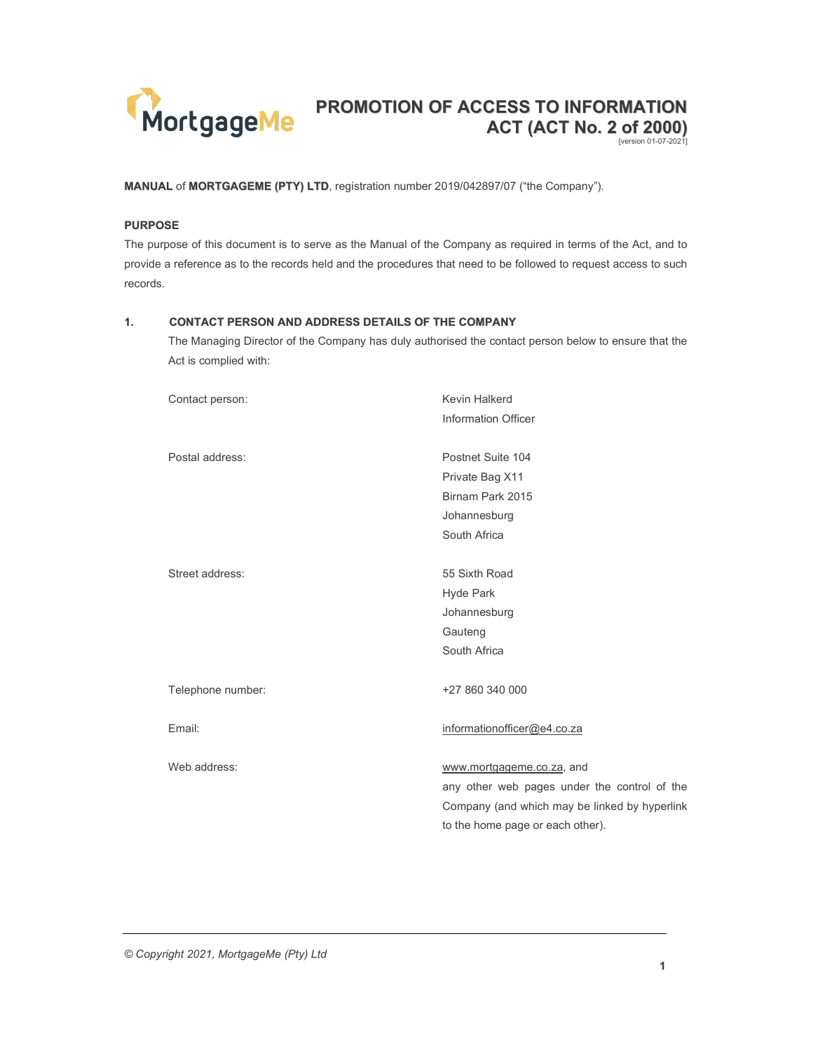

MANUAL of MORTGAGEME (PTY) LTD, registration number 2019/042897/07 ("the Company").

#### PURPOSE

The purpose of this document is to serve as the Manual of the Company as required in terms of the Act, and to provide a reference as to the records held and the procedures that need to be followed to request access to such records.

## 1. CONTACT PERSON AND ADDRESS DETAILS OF THE COMPANY

The Managing Director of the Company has duly authorised the contact person below to ensure that the Act is complied with:

| Contact person:   | Kevin Halkerd                                 |
|-------------------|-----------------------------------------------|
|                   | Information Officer                           |
|                   |                                               |
| Postal address:   | Postnet Suite 104                             |
|                   | Private Bag X11                               |
|                   | Birnam Park 2015                              |
|                   | Johannesburg                                  |
|                   | South Africa                                  |
|                   |                                               |
| Street address:   | 55 Sixth Road                                 |
|                   | Hyde Park                                     |
|                   | Johannesburg                                  |
|                   | Gauteng                                       |
|                   | South Africa                                  |
|                   |                                               |
| Telephone number: | +27 860 340 000                               |
|                   |                                               |
| Email:            | informationofficer@e4.co.za                   |
|                   |                                               |
| Web address:      | www.mortgageme.co.za, and                     |
|                   | any other web pages under the control of the  |
|                   | Company (and which may be linked by hyperlink |
|                   | to the home page or each other).              |
|                   |                                               |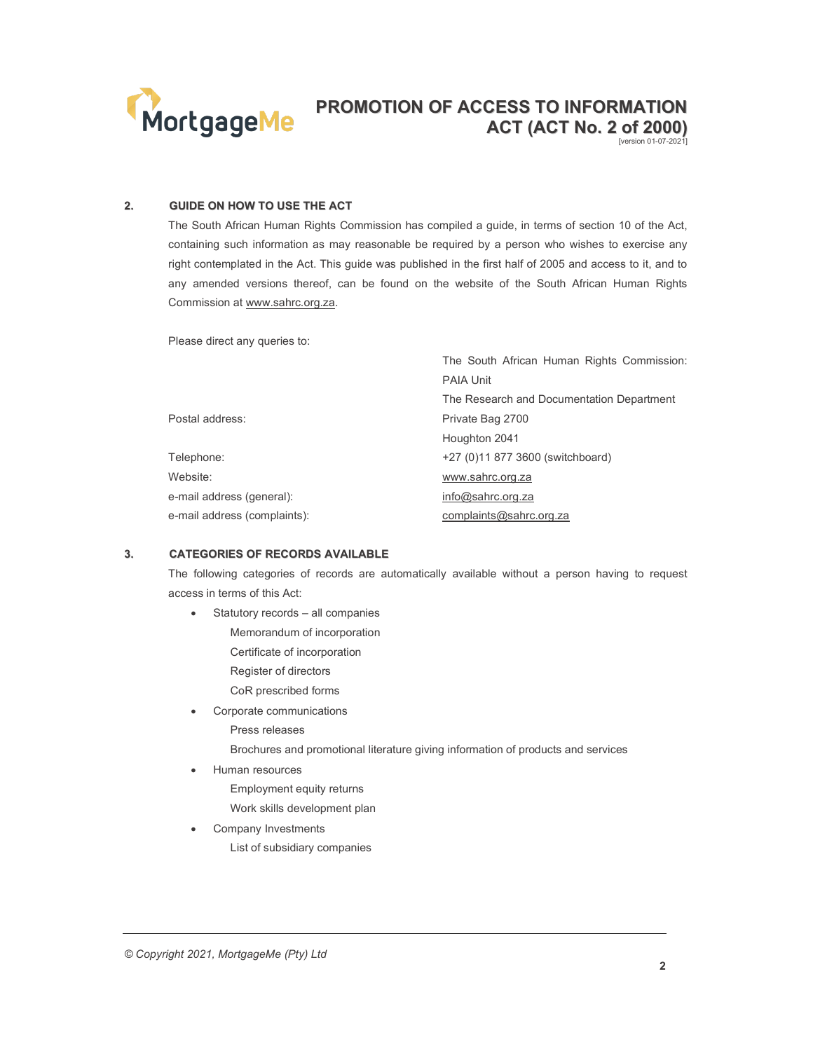

[version 01-07-2021]

### 2. GUIDE ON HOW TO USE THE ACT

The South African Human Rights Commission has compiled a guide, in terms of section 10 of the Act, containing such information as may reasonable be required by a person who wishes to exercise any right contemplated in the Act. This guide was published in the first half of 2005 and access to it, and to any amended versions thereof, can be found on the website of the South African Human Rights Commission at www.sahrc.org.za.

Please direct any queries to:

|                              | The South African Human Rights Commission: |
|------------------------------|--------------------------------------------|
|                              | <b>PAIA Unit</b>                           |
|                              | The Research and Documentation Department  |
| Postal address:              | Private Bag 2700                           |
|                              | Houghton 2041                              |
| Telephone:                   | +27 (0)11 877 3600 (switchboard)           |
| Website:                     | www.sahrc.org.za                           |
| e-mail address (general):    | info@sahrc.org.za                          |
| e-mail address (complaints): | complaints@sahrc.org.za                    |

## 3. CATEGORIES OF RECORDS AVAILABLE

The following categories of records are automatically available without a person having to request access in terms of this Act:

- Statutory records all companies
	- Memorandum of incorporation Certificate of incorporation
	- Register of directors
	- CoR prescribed forms
- Corporate communications Press releases

Brochures and promotional literature giving information of products and services

- Human resources
	- Employment equity returns
	- Work skills development plan
- Company Investments List of subsidiary companies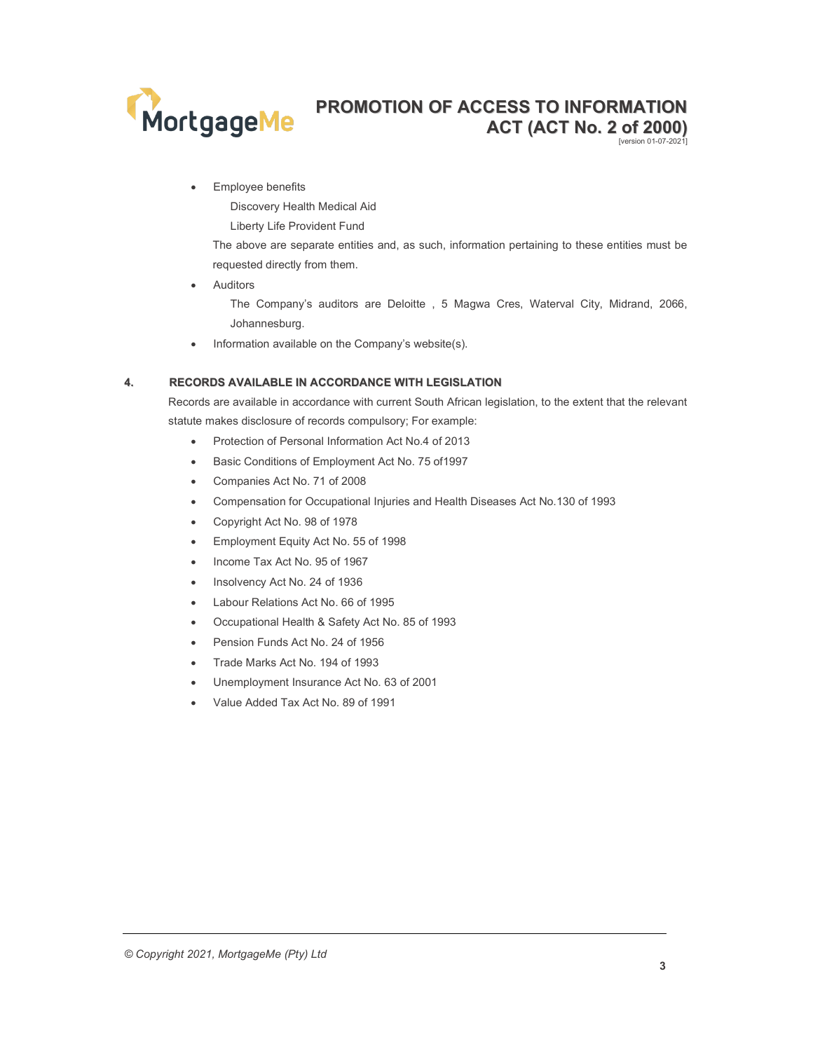

Employee benefits

Discovery Health Medical Aid

Liberty Life Provident Fund

The above are separate entities and, as such, information pertaining to these entities must be requested directly from them.

Auditors

The Company's auditors are Deloitte , 5 Magwa Cres, Waterval City, Midrand, 2066, Johannesburg.

• Information available on the Company's website(s).

## 4. RECORDS AVAILABLE IN ACCORDANCE WITH LEGISLATION

Records are available in accordance with current South African legislation, to the extent that the relevant statute makes disclosure of records compulsory; For example:

- Protection of Personal Information Act No.4 of 2013
- Basic Conditions of Employment Act No. 75 of1997
- Companies Act No. 71 of 2008
- Compensation for Occupational Injuries and Health Diseases Act No.130 of 1993
- Copyright Act No. 98 of 1978
- **Employment Equity Act No. 55 of 1998**
- Income Tax Act No. 95 of 1967
- Insolvency Act No. 24 of 1936
- Labour Relations Act No. 66 of 1995
- Occupational Health & Safety Act No. 85 of 1993
- Pension Funds Act No. 24 of 1956
- Trade Marks Act No. 194 of 1993
- Unemployment Insurance Act No. 63 of 2001
- Value Added Tax Act No. 89 of 1991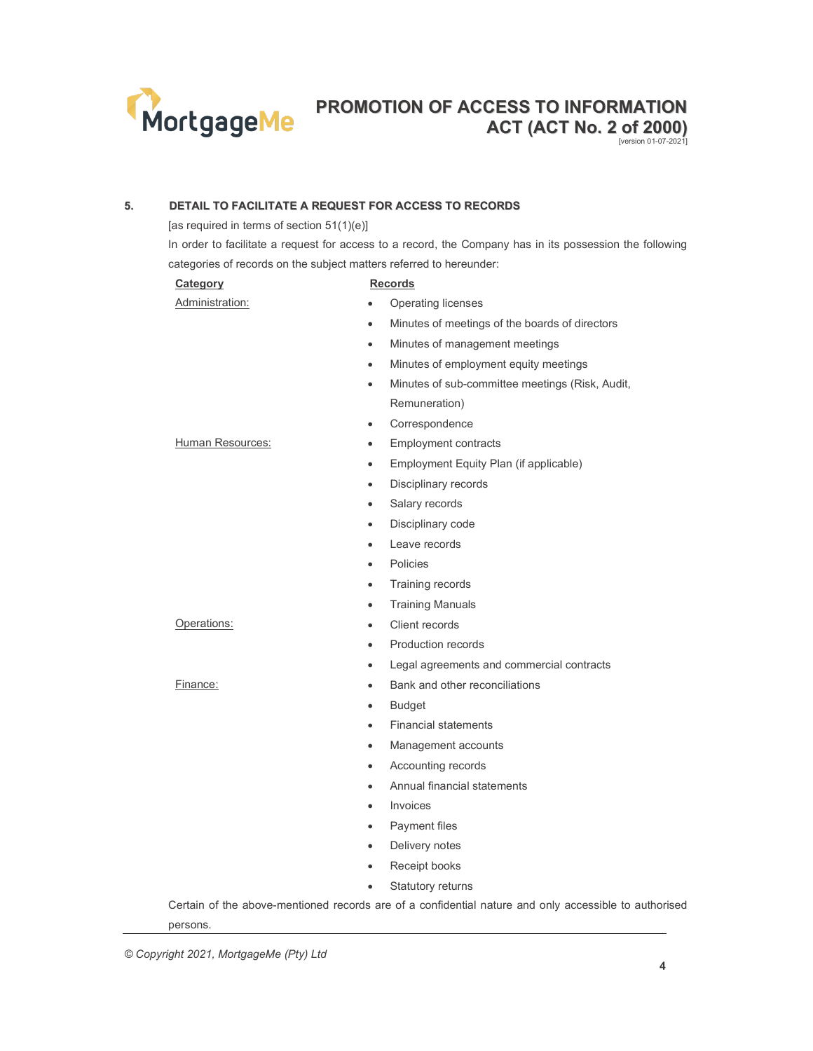

[version 01-07-2021]

## 5. DETAIL TO FACILITATE A REQUEST FOR ACCESS TO RECORDS

[as required in terms of section 51(1)(e)]

In order to facilitate a request for access to a record, the Company has in its possession the following categories of records on the subject matters referred to hereunder:

| Category         | <b>Records</b>                                                                                        |
|------------------|-------------------------------------------------------------------------------------------------------|
| Administration:  | Operating licenses                                                                                    |
|                  | Minutes of meetings of the boards of directors<br>$\bullet$                                           |
|                  | Minutes of management meetings<br>$\bullet$                                                           |
|                  | Minutes of employment equity meetings<br>$\bullet$                                                    |
|                  | Minutes of sub-committee meetings (Risk, Audit,<br>$\bullet$                                          |
|                  | Remuneration)                                                                                         |
|                  | Correspondence<br>$\bullet$                                                                           |
| Human Resources: | <b>Employment contracts</b><br>$\bullet$                                                              |
|                  | Employment Equity Plan (if applicable)<br>$\bullet$                                                   |
|                  | Disciplinary records<br>$\bullet$                                                                     |
|                  | Salary records<br>$\bullet$                                                                           |
|                  | Disciplinary code<br>$\bullet$                                                                        |
|                  | Leave records<br>$\bullet$                                                                            |
|                  | Policies<br>$\bullet$                                                                                 |
|                  | Training records<br>$\bullet$                                                                         |
|                  | <b>Training Manuals</b><br>$\bullet$                                                                  |
| Operations:      | Client records<br>$\bullet$                                                                           |
|                  | Production records<br>$\bullet$                                                                       |
|                  | Legal agreements and commercial contracts<br>$\bullet$                                                |
| Finance:         | Bank and other reconciliations<br>$\bullet$                                                           |
|                  | <b>Budget</b><br>$\bullet$                                                                            |
|                  | <b>Financial statements</b><br>$\bullet$                                                              |
|                  | Management accounts<br>$\bullet$                                                                      |
|                  | Accounting records<br>$\bullet$                                                                       |
|                  | Annual financial statements<br>$\bullet$                                                              |
|                  | Invoices<br>$\bullet$                                                                                 |
|                  | Payment files<br>$\bullet$                                                                            |
|                  | Delivery notes<br>$\bullet$                                                                           |
|                  | Receipt books<br>$\bullet$                                                                            |
|                  | Statutory returns<br>$\bullet$                                                                        |
| persons.         | Certain of the above-mentioned records are of a confidential nature and only accessible to authorised |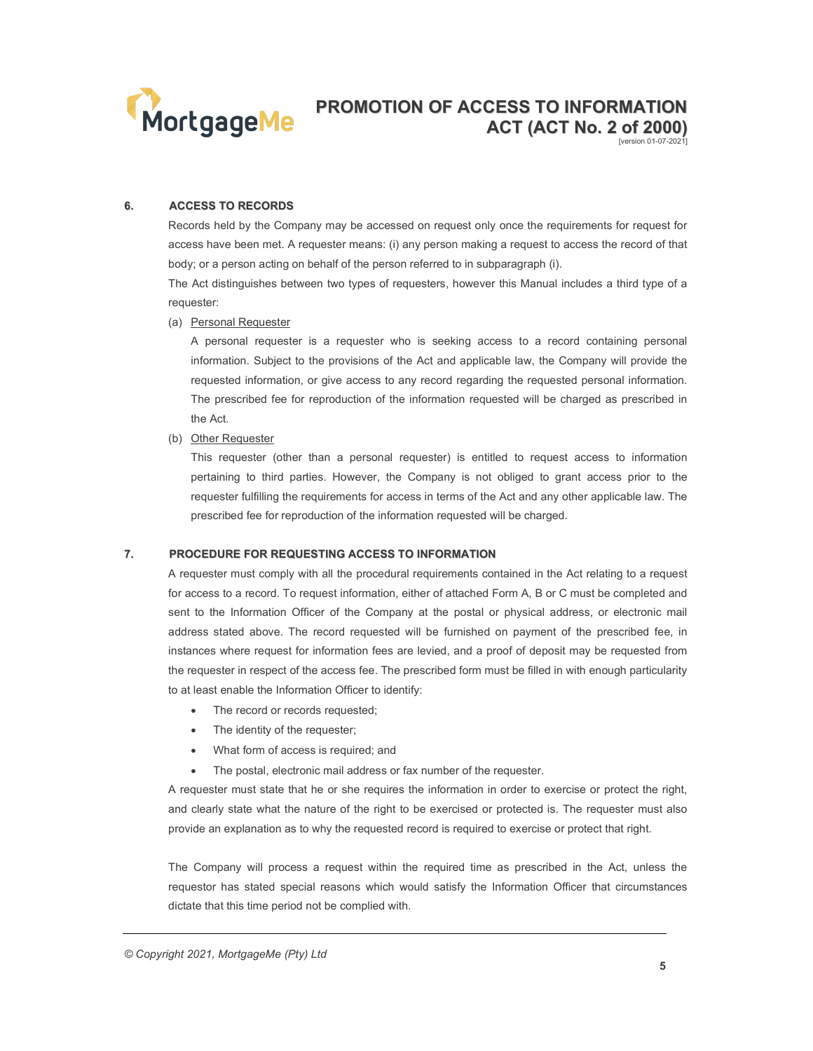

6. ACCESS TO RECORDS

Records held by the Company may be accessed on request only once the requirements for request for access have been met. A requester means: (i) any person making a request to access the record of that body; or a person acting on behalf of the person referred to in subparagraph (i).

The Act distinguishes between two types of requesters, however this Manual includes a third type of a requester:

(a) Personal Requester

A personal requester is a requester who is seeking access to a record containing personal information. Subject to the provisions of the Act and applicable law, the Company will provide the requested information, or give access to any record regarding the requested personal information. The prescribed fee for reproduction of the information requested will be charged as prescribed in the Act.

(b) Other Requester

This requester (other than a personal requester) is entitled to request access to information pertaining to third parties. However, the Company is not obliged to grant access prior to the requester fulfilling the requirements for access in terms of the Act and any other applicable law. The prescribed fee for reproduction of the information requested will be charged.

#### 7. PROCEDURE FOR REQUESTING ACCESS TO INFORMATION

A requester must comply with all the procedural requirements contained in the Act relating to a request for access to a record. To request information, either of attached Form A, B or C must be completed and sent to the Information Officer of the Company at the postal or physical address, or electronic mail address stated above. The record requested will be furnished on payment of the prescribed fee, in instances where request for information fees are levied, and a proof of deposit may be requested from the requester in respect of the access fee. The prescribed form must be filled in with enough particularity to at least enable the Information Officer to identify:

- The record or records requested;
- The identity of the requester;
- What form of access is required; and
- The postal, electronic mail address or fax number of the requester.

A requester must state that he or she requires the information in order to exercise or protect the right, and clearly state what the nature of the right to be exercised or protected is. The requester must also provide an explanation as to why the requested record is required to exercise or protect that right.

The Company will process a request within the required time as prescribed in the Act, unless the requestor has stated special reasons which would satisfy the Information Officer that circumstances dictate that this time period not be complied with.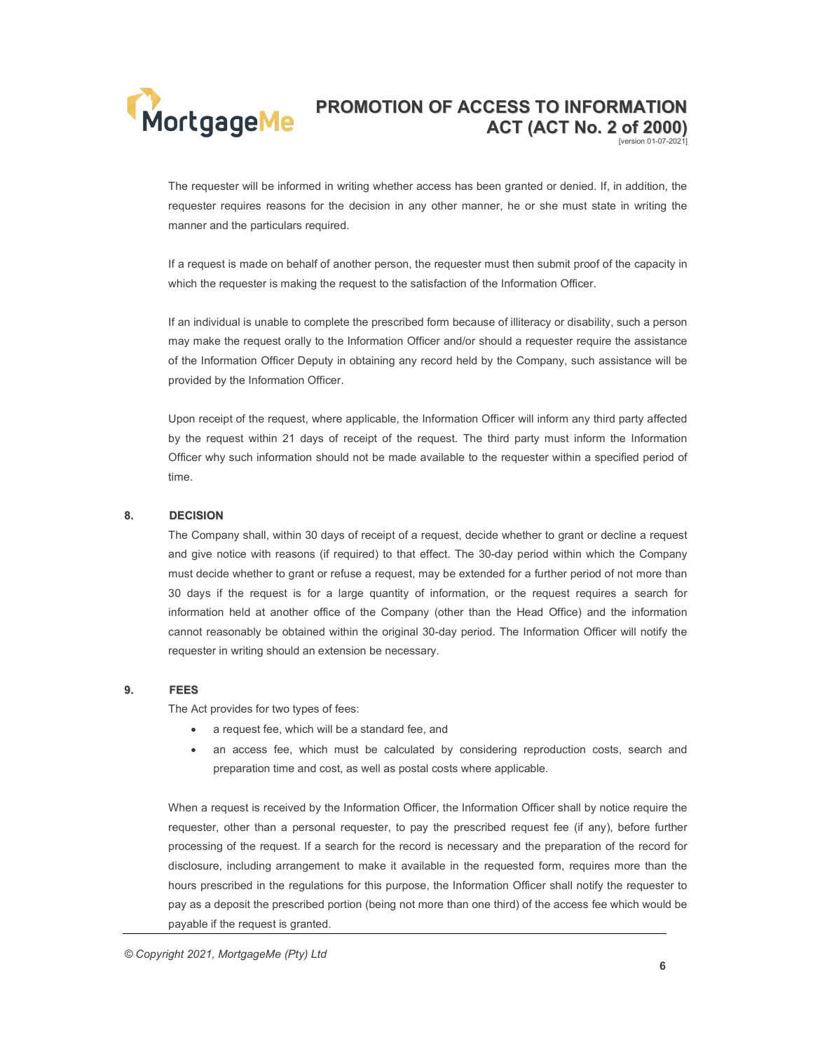# MortgageMe

## PROMOTION OF ACCESS TO INFORMATION ACT (ACT No. 2 of 2000) [version 01-07-2021]

The requester will be informed in writing whether access has been granted or denied. If, in addition, the requester requires reasons for the decision in any other manner, he or she must state in writing the manner and the particulars required.

If a request is made on behalf of another person, the requester must then submit proof of the capacity in which the requester is making the request to the satisfaction of the Information Officer.

If an individual is unable to complete the prescribed form because of illiteracy or disability, such a person may make the request orally to the Information Officer and/or should a requester require the assistance of the Information Officer Deputy in obtaining any record held by the Company, such assistance will be provided by the Information Officer.

Upon receipt of the request, where applicable, the Information Officer will inform any third party affected by the request within 21 days of receipt of the request. The third party must inform the Information Officer why such information should not be made available to the requester within a specified period of time.

#### 8. DECISION

The Company shall, within 30 days of receipt of a request, decide whether to grant or decline a request and give notice with reasons (if required) to that effect. The 30-day period within which the Company must decide whether to grant or refuse a request, may be extended for a further period of not more than 30 days if the request is for a large quantity of information, or the request requires a search for information held at another office of the Company (other than the Head Office) and the information cannot reasonably be obtained within the original 30-day period. The Information Officer will notify the requester in writing should an extension be necessary.

#### 9. FEES

The Act provides for two types of fees:

- a request fee, which will be a standard fee, and
- an access fee, which must be calculated by considering reproduction costs, search and preparation time and cost, as well as postal costs where applicable.

When a request is received by the Information Officer, the Information Officer shall by notice require the requester, other than a personal requester, to pay the prescribed request fee (if any), before further processing of the request. If a search for the record is necessary and the preparation of the record for disclosure, including arrangement to make it available in the requested form, requires more than the hours prescribed in the regulations for this purpose, the Information Officer shall notify the requester to pay as a deposit the prescribed portion (being not more than one third) of the access fee which would be payable if the request is granted.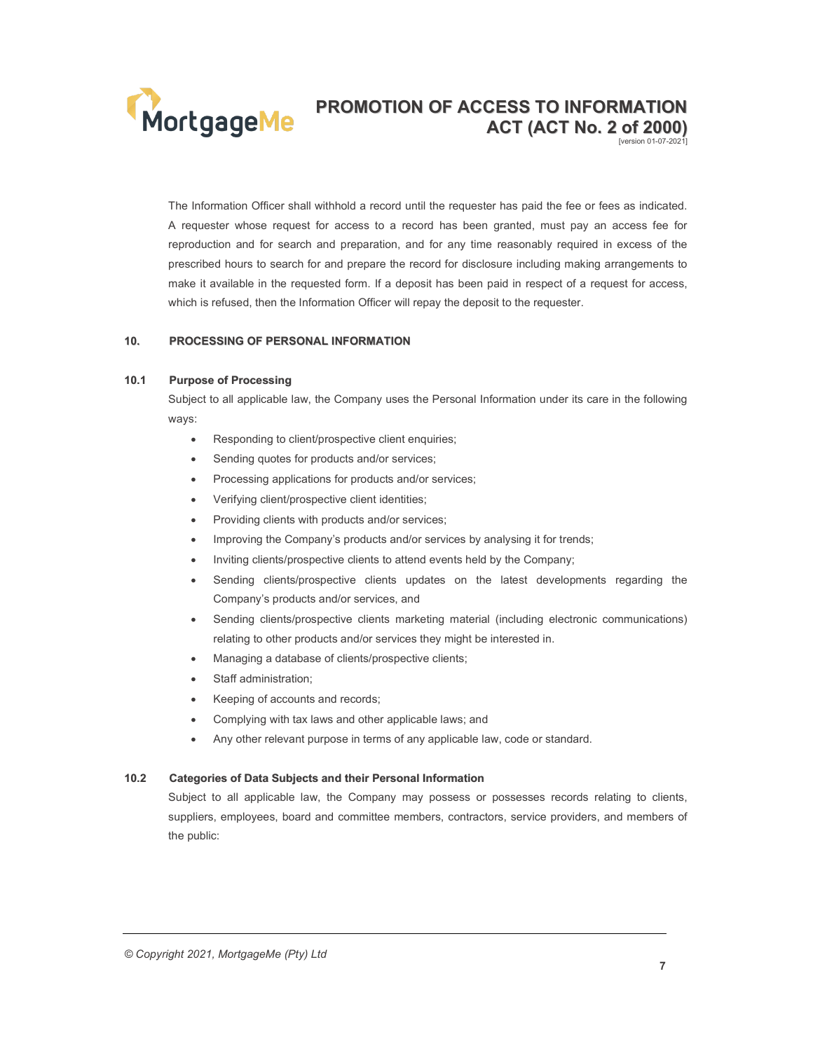

[version 01-07-2021]

The Information Officer shall withhold a record until the requester has paid the fee or fees as indicated. A requester whose request for access to a record has been granted, must pay an access fee for reproduction and for search and preparation, and for any time reasonably required in excess of the prescribed hours to search for and prepare the record for disclosure including making arrangements to make it available in the requested form. If a deposit has been paid in respect of a request for access, which is refused, then the Information Officer will repay the deposit to the requester.

#### 10. PROCESSING OF PERSONAL INFORMATION

#### 10.1 Purpose of Processing

Subject to all applicable law, the Company uses the Personal Information under its care in the following ways:

- Responding to client/prospective client enquiries;
- Sending quotes for products and/or services;
- Processing applications for products and/or services;
- Verifying client/prospective client identities;
- Providing clients with products and/or services;
- Improving the Company's products and/or services by analysing it for trends;
- Inviting clients/prospective clients to attend events held by the Company;
- Sending clients/prospective clients updates on the latest developments regarding the Company's products and/or services, and
- Sending clients/prospective clients marketing material (including electronic communications) relating to other products and/or services they might be interested in.
- Managing a database of clients/prospective clients;
- Staff administration;
- Keeping of accounts and records;
- Complying with tax laws and other applicable laws; and
- Any other relevant purpose in terms of any applicable law, code or standard.

#### 10.2 Categories of Data Subjects and their Personal Information

Subject to all applicable law, the Company may possess or possesses records relating to clients, suppliers, employees, board and committee members, contractors, service providers, and members of the public: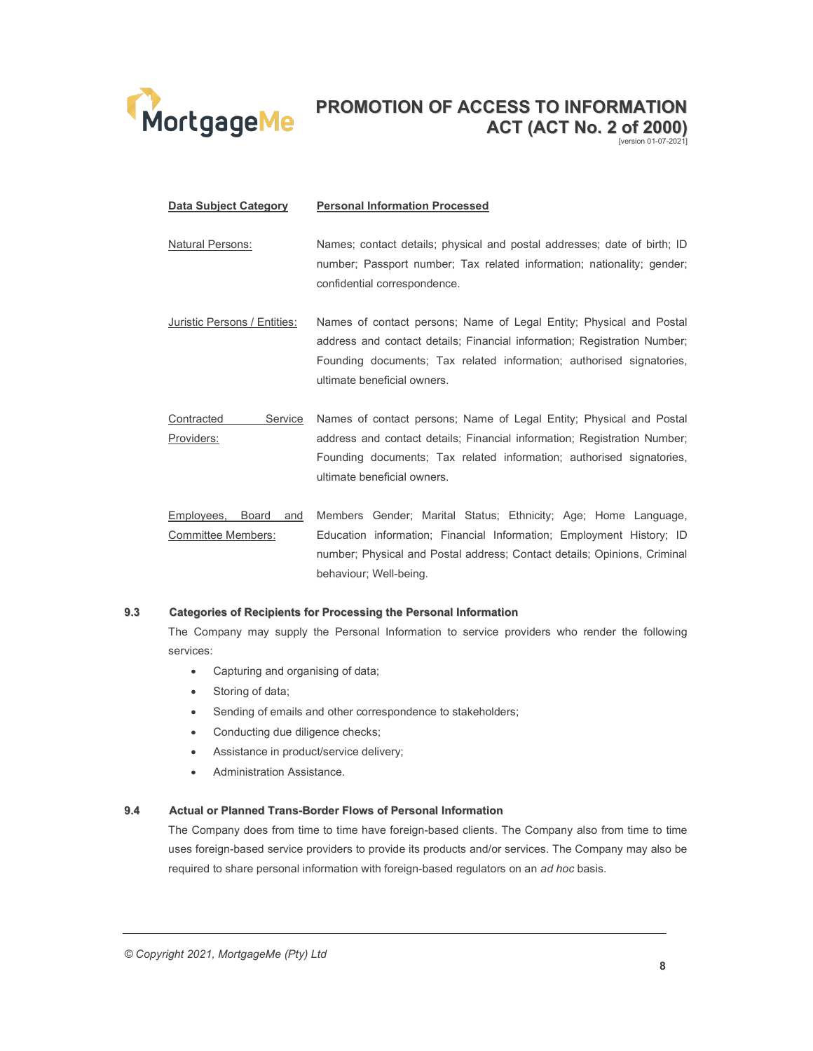

## Data Subject Category Personal Information Processed

- Natural Persons: Names; contact details; physical and postal addresses; date of birth; ID number; Passport number; Tax related information; nationality; gender; confidential correspondence.
- Juristic Persons / Entities: Names of contact persons; Name of Legal Entity; Physical and Postal address and contact details; Financial information; Registration Number; Founding documents; Tax related information; authorised signatories, ultimate beneficial owners.
- Contracted Service Providers: Names of contact persons; Name of Legal Entity; Physical and Postal address and contact details; Financial information; Registration Number; Founding documents; Tax related information; authorised signatories, ultimate beneficial owners.
- Employees, Board and Members Gender; Marital Status; Ethnicity; Age; Home Language, Committee Members: Education information; Financial Information; Employment History; ID number; Physical and Postal address; Contact details; Opinions, Criminal behaviour; Well-being.

#### 9.3 Categories of Recipients for Processing the Personal Information

The Company may supply the Personal Information to service providers who render the following services:

- Capturing and organising of data;
- Storing of data;
- Sending of emails and other correspondence to stakeholders;
- Conducting due diligence checks;
- Assistance in product/service delivery;
- Administration Assistance.

#### 9.4 Actual or Planned Trans-Border Flows of Personal Information

The Company does from time to time have foreign-based clients. The Company also from time to time uses foreign-based service providers to provide its products and/or services. The Company may also be required to share personal information with foreign-based regulators on an ad hoc basis.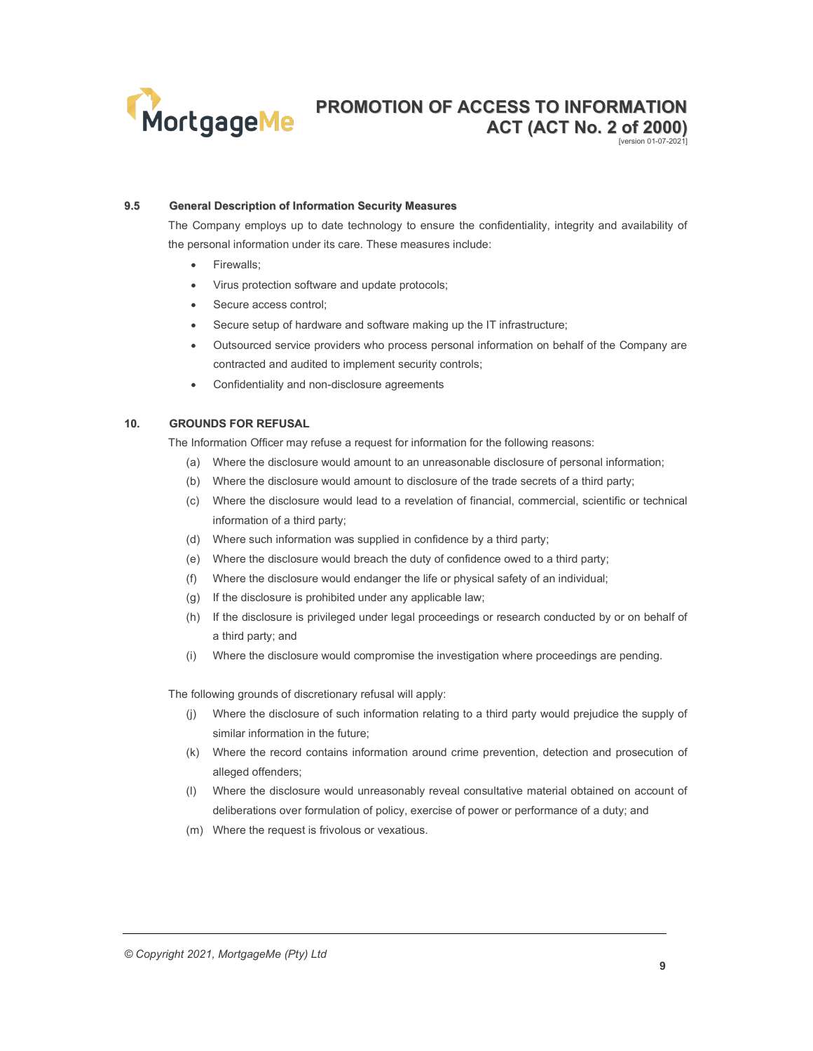

#### 9.5 General Description of Information Security Measures

The Company employs up to date technology to ensure the confidentiality, integrity and availability of the personal information under its care. These measures include:

- Firewalls;
- Virus protection software and update protocols;
- Secure access control;
- Secure setup of hardware and software making up the IT infrastructure;
- Outsourced service providers who process personal information on behalf of the Company are contracted and audited to implement security controls;
- Confidentiality and non-disclosure agreements

#### 10. GROUNDS FOR REFUSAL

The Information Officer may refuse a request for information for the following reasons:

- (a) Where the disclosure would amount to an unreasonable disclosure of personal information;
- (b) Where the disclosure would amount to disclosure of the trade secrets of a third party;
- (c) Where the disclosure would lead to a revelation of financial, commercial, scientific or technical information of a third party;
- (d) Where such information was supplied in confidence by a third party;
- (e) Where the disclosure would breach the duty of confidence owed to a third party;
- (f) Where the disclosure would endanger the life or physical safety of an individual;
- (g) If the disclosure is prohibited under any applicable law;
- (h) If the disclosure is privileged under legal proceedings or research conducted by or on behalf of a third party; and
- (i) Where the disclosure would compromise the investigation where proceedings are pending.

The following grounds of discretionary refusal will apply:

- (j) Where the disclosure of such information relating to a third party would prejudice the supply of similar information in the future;
- (k) Where the record contains information around crime prevention, detection and prosecution of alleged offenders;
- (l) Where the disclosure would unreasonably reveal consultative material obtained on account of deliberations over formulation of policy, exercise of power or performance of a duty; and
- (m) Where the request is frivolous or vexatious.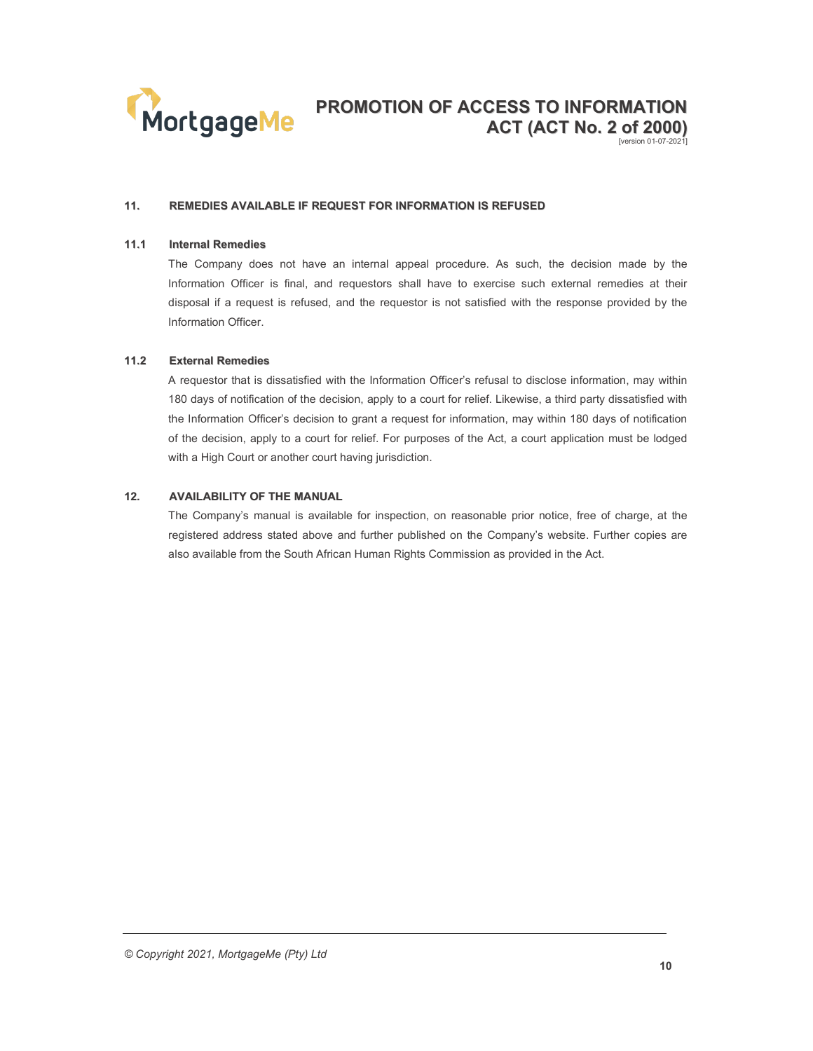

#### 11. REMEDIES AVAILABLE IF REQUEST FOR INFORMATION IS REFUSED

#### 11.1 Internal Remedies

The Company does not have an internal appeal procedure. As such, the decision made by the Information Officer is final, and requestors shall have to exercise such external remedies at their disposal if a request is refused, and the requestor is not satisfied with the response provided by the Information Officer.

#### 11.2 External Remedies

A requestor that is dissatisfied with the Information Officer's refusal to disclose information, may within 180 days of notification of the decision, apply to a court for relief. Likewise, a third party dissatisfied with the Information Officer's decision to grant a request for information, may within 180 days of notification of the decision, apply to a court for relief. For purposes of the Act, a court application must be lodged with a High Court or another court having jurisdiction.

## 12. AVAILABILITY OF THE MANUAL

The Company's manual is available for inspection, on reasonable prior notice, free of charge, at the registered address stated above and further published on the Company's website. Further copies are also available from the South African Human Rights Commission as provided in the Act.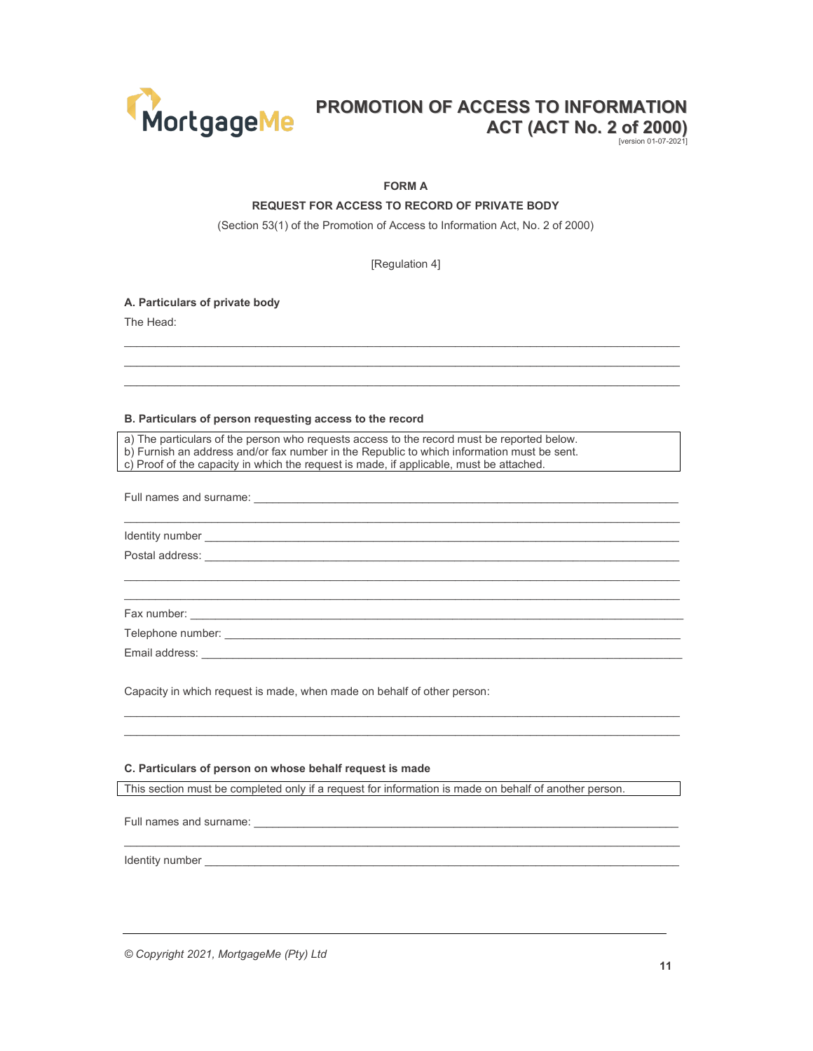

[version 01-07-2021]

#### FORM A

#### REQUEST FOR ACCESS TO RECORD OF PRIVATE BODY

(Section 53(1) of the Promotion of Access to Information Act, No. 2 of 2000)

[Regulation 4]

 $\_$  , and the state of the state of the state of the state of the state of the state of the state of the state of the state of the state of the state of the state of the state of the state of the state of the state of the  $\_$  , and the state of the state of the state of the state of the state of the state of the state of the state of the state of the state of the state of the state of the state of the state of the state of the state of the  $\_$  , and the state of the state of the state of the state of the state of the state of the state of the state of the state of the state of the state of the state of the state of the state of the state of the state of the

 $\mathcal{L}_\text{max}$ 

 $\mathcal{L}_\text{max}$  $\_$  , and the state of the state of the state of the state of the state of the state of the state of the state of the state of the state of the state of the state of the state of the state of the state of the state of the

 $\_$  , and the state of the state of the state of the state of the state of the state of the state of the state of the state of the state of the state of the state of the state of the state of the state of the state of the  $\_$  , and the state of the state of the state of the state of the state of the state of the state of the state of the state of the state of the state of the state of the state of the state of the state of the state of the

 $\mathcal{L}_\text{max}$ 

A. Particulars of private body

The Head:

#### B. Particulars of person requesting access to the record

a) The particulars of the person who requests access to the record must be reported below.

b) Furnish an address and/or fax number in the Republic to which information must be sent. c) Proof of the capacity in which the request is made, if applicable, must be attached.

Full names and surname:

Identity number \_\_\_\_\_\_\_\_\_\_\_\_\_\_\_\_\_\_\_\_\_\_\_\_\_\_\_\_\_\_\_\_\_\_\_\_\_\_\_\_\_\_\_\_\_\_\_\_\_\_\_\_\_\_\_\_\_\_\_\_\_\_\_\_\_\_\_\_\_\_\_\_\_\_\_\_ Postal address:

Fax number: \_\_

Telephone number: \_\_\_\_\_\_\_\_\_\_\_\_\_\_\_\_\_\_\_\_\_\_\_\_\_\_\_\_\_\_\_\_\_\_\_\_\_\_\_\_\_\_\_\_\_\_\_\_\_\_\_\_\_\_\_\_\_\_\_\_\_\_\_\_\_\_\_\_\_\_\_\_\_

Email address:

Capacity in which request is made, when made on behalf of other person:

#### C. Particulars of person on whose behalf request is made

This section must be completed only if a request for information is made on behalf of another person.

Full names and surname:

Identity number **and the set of the set of the set of the set of the set of the set of the set of the set of the set of the set of the set of the set of the set of the set of the set of the set of the set of the set of the** 

© Copyright 2021, MortgageMe (Pty) Ltd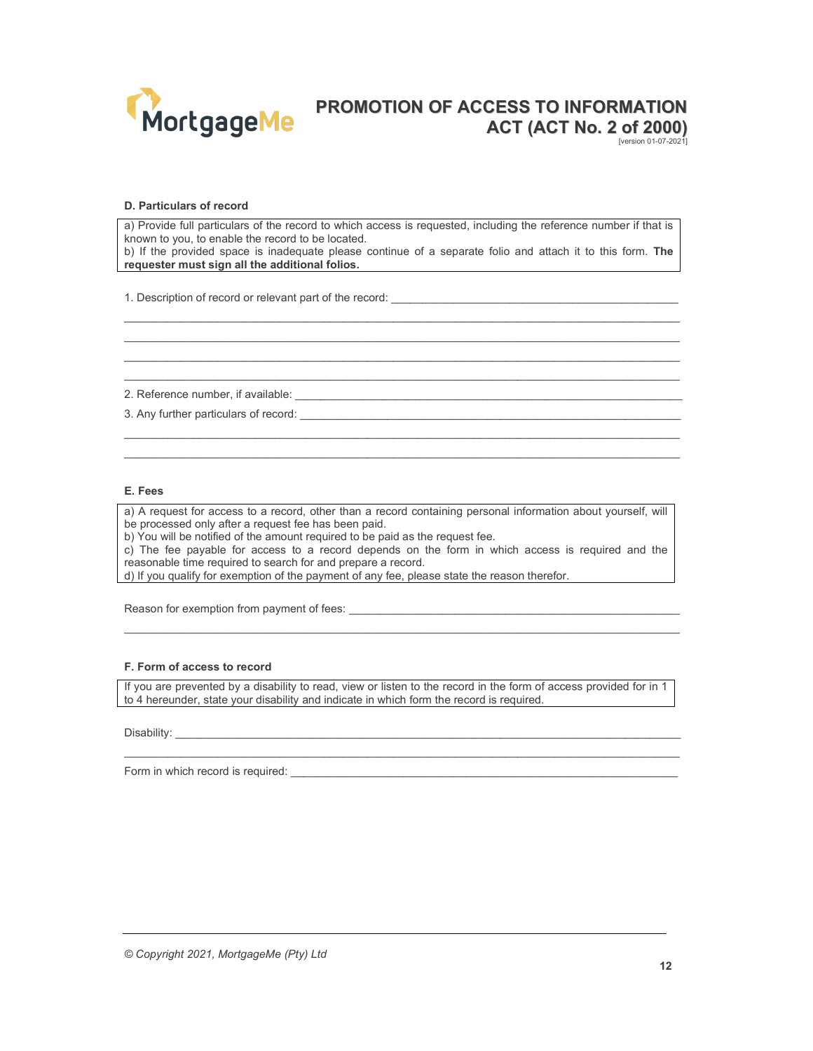

[version 01-07-2021]

#### D. Particulars of record

a) Provide full particulars of the record to which access is requested, including the reference number if that is known to you, to enable the record to be located.

b) If the provided space is inadequate please continue of a separate folio and attach it to this form. The requester must sign all the additional folios.

 $\_$  , and the state of the state of the state of the state of the state of the state of the state of the state of the state of the state of the state of the state of the state of the state of the state of the state of the  $\_$  , and the state of the state of the state of the state of the state of the state of the state of the state of the state of the state of the state of the state of the state of the state of the state of the state of the  $\mathcal{L}_\text{max}$  $\_$  , and the state of the state of the state of the state of the state of the state of the state of the state of the state of the state of the state of the state of the state of the state of the state of the state of the

 $\_$  , and the state of the state of the state of the state of the state of the state of the state of the state of the state of the state of the state of the state of the state of the state of the state of the state of the  $\_$  , and the state of the state of the state of the state of the state of the state of the state of the state of the state of the state of the state of the state of the state of the state of the state of the state of the

1. Description of record or relevant part of the record:

2. Reference number, if available: \_\_\_\_

3. Any further particulars of record:  $\blacksquare$ 

#### E. Fees

a) A request for access to a record, other than a record containing personal information about yourself, will be processed only after a request fee has been paid.

b) You will be notified of the amount required to be paid as the request fee.

c) The fee payable for access to a record depends on the form in which access is required and the reasonable time required to search for and prepare a record.

d) If you qualify for exemption of the payment of any fee, please state the reason therefor.

Reason for exemption from payment of fees:

#### F. Form of access to record

If you are prevented by a disability to read, view or listen to the record in the form of access provided for in 1 to 4 hereunder, state your disability and indicate in which form the record is required.

 $\mathcal{L}_\text{max}$ 

 $\_$  , and the state of the state of the state of the state of the state of the state of the state of the state of the state of the state of the state of the state of the state of the state of the state of the state of the

Disability:

Form in which record is required: \_\_\_\_\_\_\_\_\_\_\_\_\_\_\_\_\_\_\_\_\_\_\_\_\_\_\_\_\_\_\_\_\_\_\_\_\_\_\_\_\_\_\_\_\_\_\_\_\_\_\_\_\_\_\_\_\_\_\_\_\_\_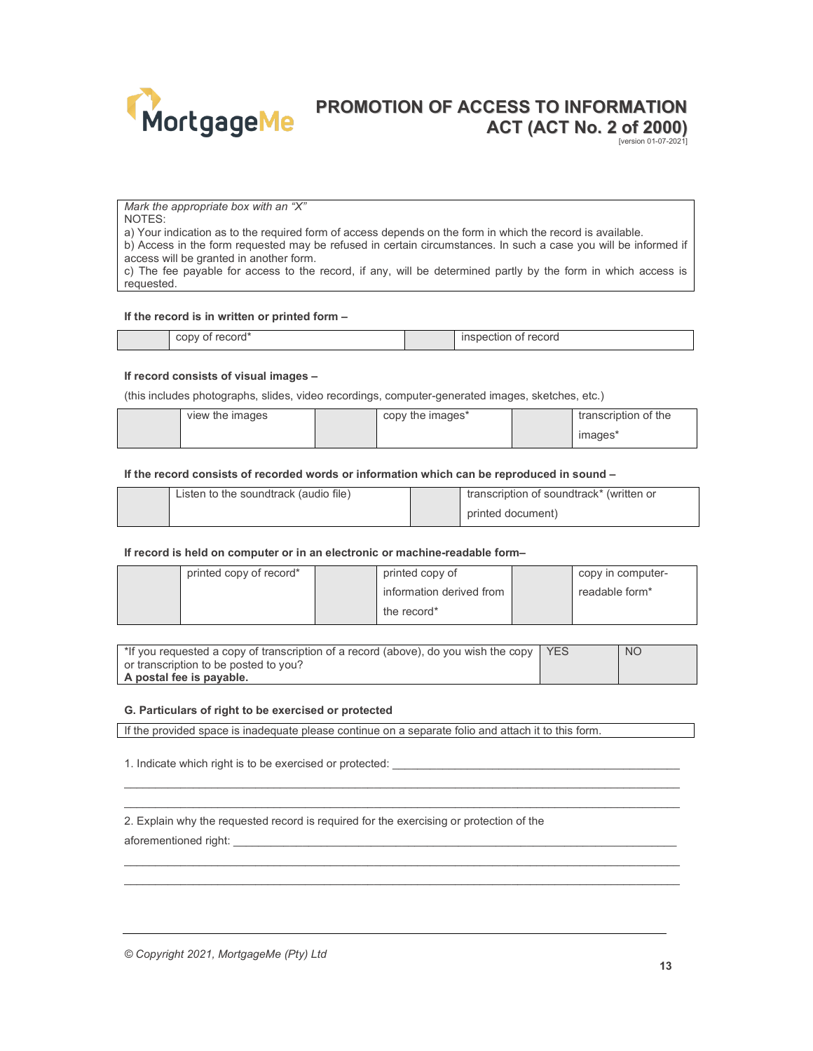

[version 01-07-2021]

Mark the appropriate box with an "X"

NOTES:

a) Your indication as to the required form of access depends on the form in which the record is available.

b) Access in the form requested may be refused in certain circumstances. In such a case you will be informed if access will be granted in another form.

c) The fee payable for access to the record, if any, will be determined partly by the form in which access is requested.

#### If the record is in written or printed form –

#### If record consists of visual images –

(this includes photographs, slides, video recordings, computer-generated images, sketches, etc.)

| view the images | copy the images* | transcription of the |
|-----------------|------------------|----------------------|
|                 |                  | images*              |

#### If the record consists of recorded words or information which can be reproduced in sound –

| Listen to the soundtrack (audio file) | transcription of soundtrack* (written or |
|---------------------------------------|------------------------------------------|
|                                       | printed document)                        |

#### If record is held on computer or in an electronic or machine-readable form–

| printed copy of record* | printed copy of          | copy in computer- |
|-------------------------|--------------------------|-------------------|
|                         | information derived from | readable form*    |
|                         | the record*              |                   |

| *If you requested a copy of transcription of a record (above), do you wish the copy   YES | NO. |
|-------------------------------------------------------------------------------------------|-----|
| or transcription to be posted to you?                                                     |     |
| A postal fee is payable.                                                                  |     |

 $\_$  , and the state of the state of the state of the state of the state of the state of the state of the state of the state of the state of the state of the state of the state of the state of the state of the state of the  $\mathcal{L}_\text{max}$ 

 $\_$  , and the state of the state of the state of the state of the state of the state of the state of the state of the state of the state of the state of the state of the state of the state of the state of the state of the  $\_$  , and the state of the state of the state of the state of the state of the state of the state of the state of the state of the state of the state of the state of the state of the state of the state of the state of the

#### G. Particulars of right to be exercised or protected

If the provided space is inadequate please continue on a separate folio and attach it to this form.

1. Indicate which right is to be exercised or protected:

2. Explain why the requested record is required for the exercising or protection of the

aforementioned right:

© Copyright 2021, MortgageMe (Pty) Ltd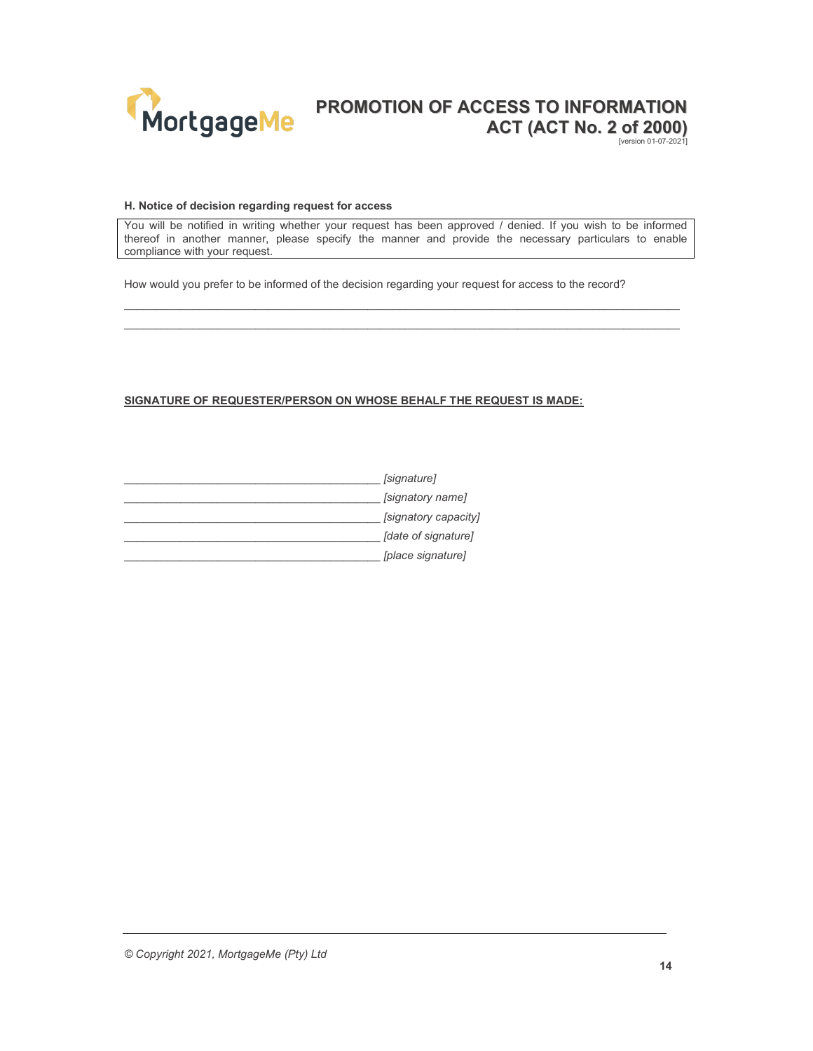

[version 01-07-2021]

#### H. Notice of decision regarding request for access

You will be notified in writing whether your request has been approved / denied. If you wish to be informed thereof in another manner, please specify the manner and provide the necessary particulars to enable compliance with your request.

 $\_$  , and the state of the state of the state of the state of the state of the state of the state of the state of the state of the state of the state of the state of the state of the state of the state of the state of the  $\mathcal{L}_\text{max}$ 

How would you prefer to be informed of the decision regarding your request for access to the record?

## SIGNATURE OF REQUESTER/PERSON ON WHOSE BEHALF THE REQUEST IS MADE:

| [signature]          |
|----------------------|
| [signatory name]     |
| [signatory capacity] |
| [date of signature]  |
| [place signature]    |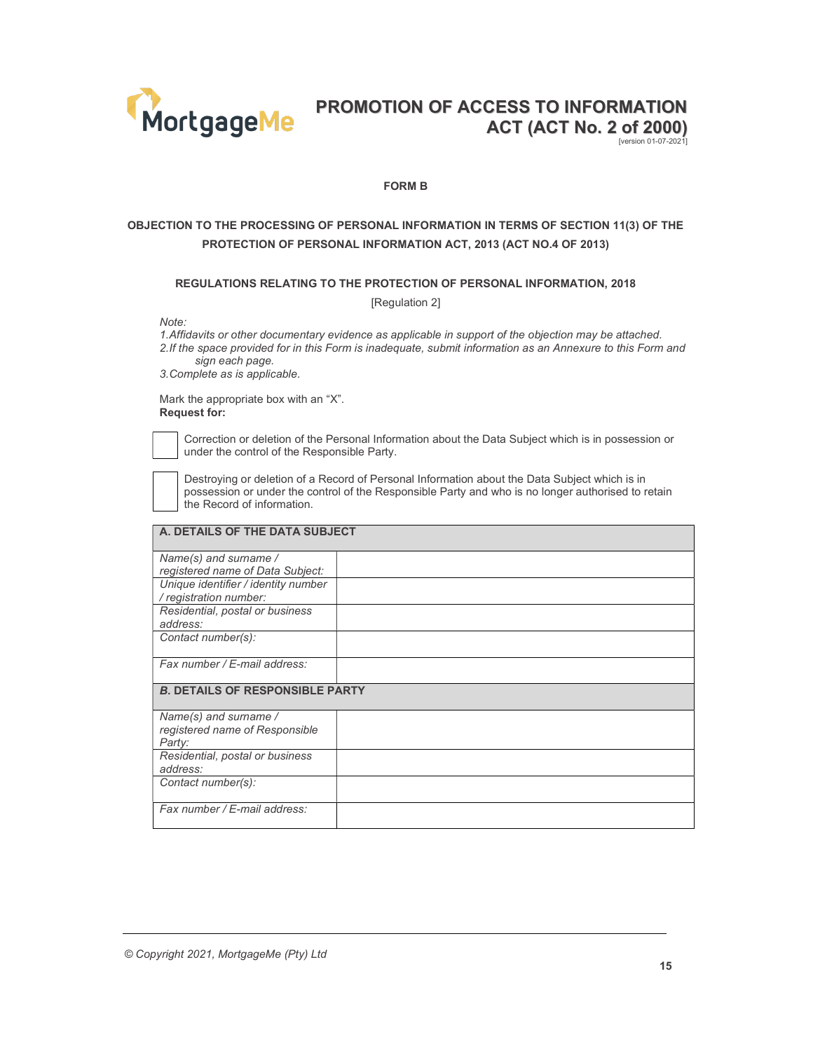

[version 01-07-2021]

#### FORM B

# OBJECTION TO THE PROCESSING OF PERSONAL INFORMATION IN TERMS OF SECTION 11(3) OF THE PROTECTION OF PERSONAL INFORMATION ACT, 2013 (ACT NO.4 OF 2013)

#### REGULATIONS RELATING TO THE PROTECTION OF PERSONAL INFORMATION, 2018

[Regulation 2]

Note:

1. Affidavits or other documentary evidence as applicable in support of the objection may be attached. 2. If the space provided for in this Form is inadequate, submit information as an Annexure to this Form and

sign each page. 3. Complete as is applicable.

Mark the appropriate box with an "X".

Request for:



address:

 Correction or deletion of the Personal Information about the Data Subject which is in possession or under the control of the Responsible Party.

 Destroying or deletion of a Record of Personal Information about the Data Subject which is in possession or under the control of the Responsible Party and who is no longer authorised to retain the Record of information.

## A. DETAILS OF THE DATA SUBJECT Name(s) and surname / registered name of Data Subject: Unique identifier / identity number / registration number: Residential, postal or business

Fax number / E-mail address:

Contact number(s):

B. DETAILS OF RESPONSIBLE PARTY

| Name(s) and surname /           |  |
|---------------------------------|--|
| registered name of Responsible  |  |
| Party:                          |  |
| Residential, postal or business |  |
| address:                        |  |
| Contact number(s):              |  |
|                                 |  |
| Fax number / E-mail address:    |  |
|                                 |  |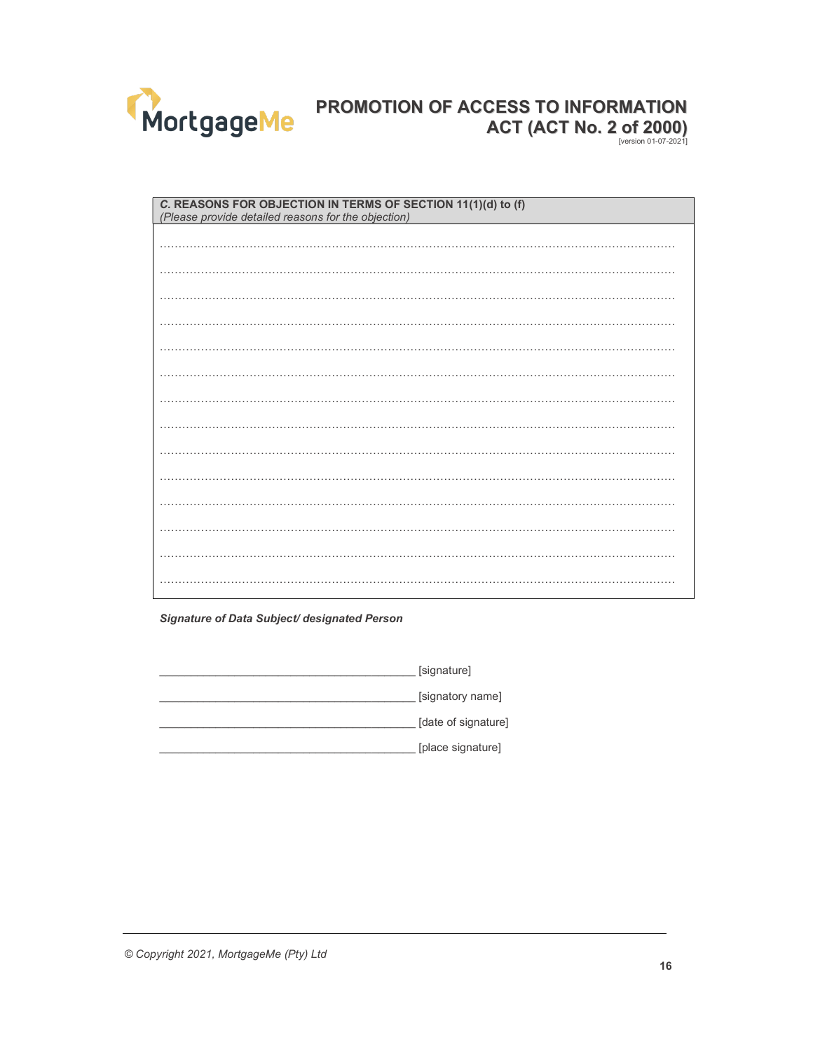

| C. REASONS FOR OBJECTION IN TERMS OF SECTION 11(1)(d) to (f)<br>(Please provide detailed reasons for the objection) |  |  |
|---------------------------------------------------------------------------------------------------------------------|--|--|
|                                                                                                                     |  |  |
|                                                                                                                     |  |  |
|                                                                                                                     |  |  |
|                                                                                                                     |  |  |
|                                                                                                                     |  |  |
|                                                                                                                     |  |  |
|                                                                                                                     |  |  |
|                                                                                                                     |  |  |
|                                                                                                                     |  |  |
|                                                                                                                     |  |  |
|                                                                                                                     |  |  |
|                                                                                                                     |  |  |
|                                                                                                                     |  |  |
|                                                                                                                     |  |  |

## Signature of Data Subject/ designated Person

[signature] [signatory name] [date of signature] [place signature]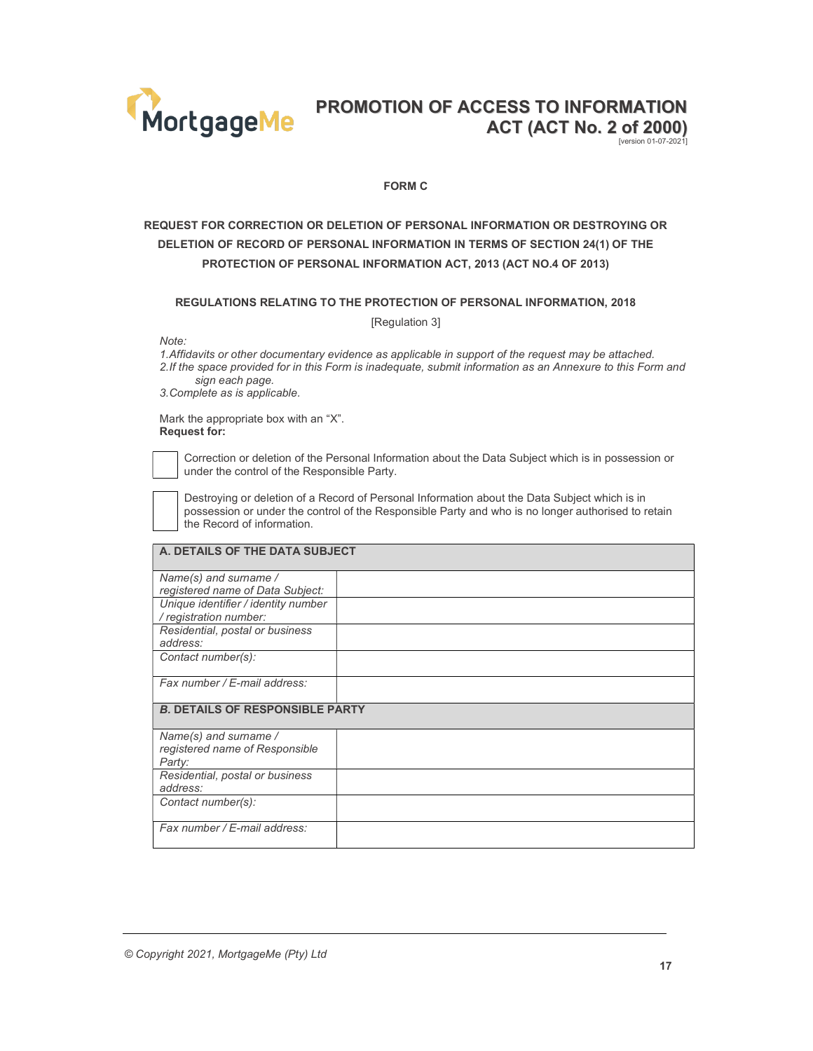

[version 01-07-2021]

#### FORM C

# REQUEST FOR CORRECTION OR DELETION OF PERSONAL INFORMATION OR DESTROYING OR DELETION OF RECORD OF PERSONAL INFORMATION IN TERMS OF SECTION 24(1) OF THE PROTECTION OF PERSONAL INFORMATION ACT, 2013 (ACT NO.4 OF 2013)

## REGULATIONS RELATING TO THE PROTECTION OF PERSONAL INFORMATION, 2018

[Regulation 3]

Note:

1. Affidavits or other documentary evidence as applicable in support of the request may be attached. 2. If the space provided for in this Form is inadequate, submit information as an Annexure to this Form and sign each page.

3. Complete as is applicable.

Mark the appropriate box with an "X". Request for:

 Correction or deletion of the Personal Information about the Data Subject which is in possession or under the control of the Responsible Party.

 Destroying or deletion of a Record of Personal Information about the Data Subject which is in possession or under the control of the Responsible Party and who is no longer authorised to retain the Record of information.

## A. DETAILS OF THE DATA SUBJECT

| Name(s) and surname /                  |  |
|----------------------------------------|--|
| registered name of Data Subject:       |  |
| Unique identifier / identity number    |  |
| / registration number:                 |  |
| Residential, postal or business        |  |
| address:                               |  |
| Contact number(s):                     |  |
|                                        |  |
| Fax number / E-mail address:           |  |
|                                        |  |
| <b>B. DETAILS OF RESPONSIBLE PARTY</b> |  |
| Name(s) and surname /                  |  |
| registered name of Responsible         |  |
| Party:                                 |  |
| Residential, postal or business        |  |
| address:                               |  |
| Contact number(s):                     |  |
|                                        |  |
| Fax number / E-mail address:           |  |
|                                        |  |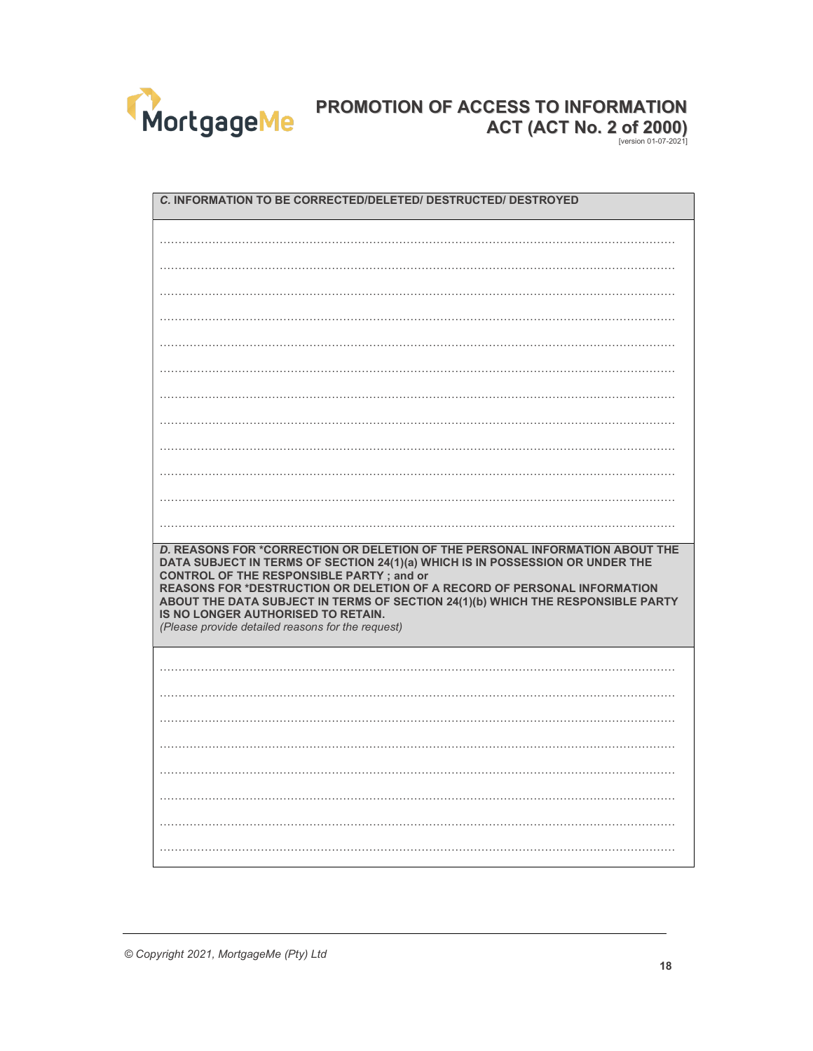

| C. INFORMATION TO BE CORRECTED/DELETED/ DESTRUCTED/ DESTROYED                                                                                                                                                                                                                                                                                                                                                                                                              |  |  |
|----------------------------------------------------------------------------------------------------------------------------------------------------------------------------------------------------------------------------------------------------------------------------------------------------------------------------------------------------------------------------------------------------------------------------------------------------------------------------|--|--|
|                                                                                                                                                                                                                                                                                                                                                                                                                                                                            |  |  |
|                                                                                                                                                                                                                                                                                                                                                                                                                                                                            |  |  |
|                                                                                                                                                                                                                                                                                                                                                                                                                                                                            |  |  |
|                                                                                                                                                                                                                                                                                                                                                                                                                                                                            |  |  |
|                                                                                                                                                                                                                                                                                                                                                                                                                                                                            |  |  |
|                                                                                                                                                                                                                                                                                                                                                                                                                                                                            |  |  |
|                                                                                                                                                                                                                                                                                                                                                                                                                                                                            |  |  |
|                                                                                                                                                                                                                                                                                                                                                                                                                                                                            |  |  |
|                                                                                                                                                                                                                                                                                                                                                                                                                                                                            |  |  |
|                                                                                                                                                                                                                                                                                                                                                                                                                                                                            |  |  |
|                                                                                                                                                                                                                                                                                                                                                                                                                                                                            |  |  |
|                                                                                                                                                                                                                                                                                                                                                                                                                                                                            |  |  |
|                                                                                                                                                                                                                                                                                                                                                                                                                                                                            |  |  |
|                                                                                                                                                                                                                                                                                                                                                                                                                                                                            |  |  |
| D. REASONS FOR *CORRECTION OR DELETION OF THE PERSONAL INFORMATION ABOUT THE<br>DATA SUBJECT IN TERMS OF SECTION 24(1)(a) WHICH IS IN POSSESSION OR UNDER THE<br><b>CONTROL OF THE RESPONSIBLE PARTY; and or</b><br>REASONS FOR *DESTRUCTION OR DELETION OF A RECORD OF PERSONAL INFORMATION<br>ABOUT THE DATA SUBJECT IN TERMS OF SECTION 24(1)(b) WHICH THE RESPONSIBLE PARTY<br>IS NO LONGER AUTHORISED TO RETAIN.<br>(Please provide detailed reasons for the request) |  |  |
|                                                                                                                                                                                                                                                                                                                                                                                                                                                                            |  |  |
|                                                                                                                                                                                                                                                                                                                                                                                                                                                                            |  |  |
|                                                                                                                                                                                                                                                                                                                                                                                                                                                                            |  |  |
|                                                                                                                                                                                                                                                                                                                                                                                                                                                                            |  |  |
|                                                                                                                                                                                                                                                                                                                                                                                                                                                                            |  |  |
|                                                                                                                                                                                                                                                                                                                                                                                                                                                                            |  |  |
|                                                                                                                                                                                                                                                                                                                                                                                                                                                                            |  |  |
|                                                                                                                                                                                                                                                                                                                                                                                                                                                                            |  |  |

© Copyright 2021, MortgageMe (Pty) Ltd